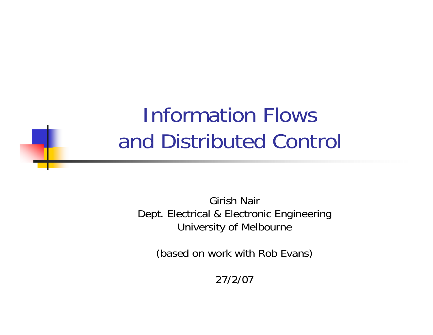#### Information Flows and Distributed Control

Girish NairDept. Electrical & Electronic Engineering University of Melbourne

(based on work with Rob Evans)

27/2/07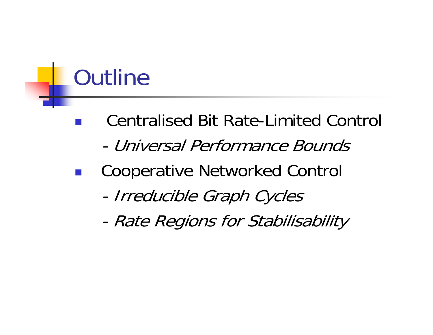# **Outline**

**Service Service** 

- Centralised Bit Rate-Limited Control
	- Universal Performance Bounds
- Cooperative Networked Control
	- -Irreducible Graph Cycles
	- -Rate Regions for Stabilisability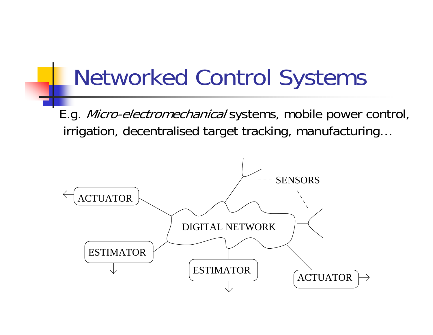## Networked Control Systems

E.g. Micro-electromechanical systems, mobile power control, irrigation, decentralised target tracking, manufacturing…

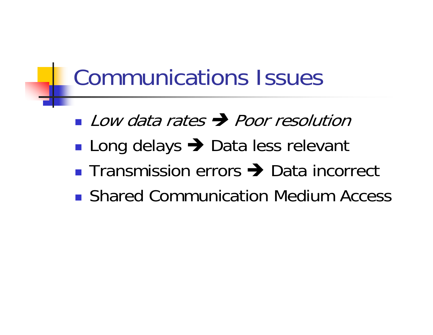#### Communications Issues

- **Low data rates**  $\rightarrow$  **Poor resolution**
- ■ Long delays → Data less relevant
- Transmission errors → Data incorrect
- **Shared Communication Medium Access**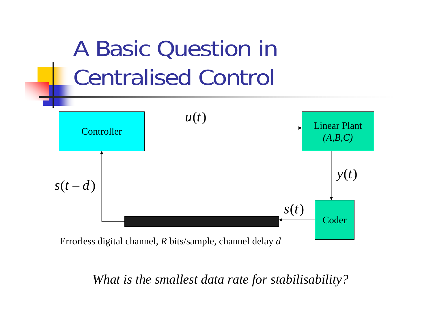

Errorless digital channel, *R* bits/sample, channel delay *d*

*What is the smallest data rate for stabilisability?*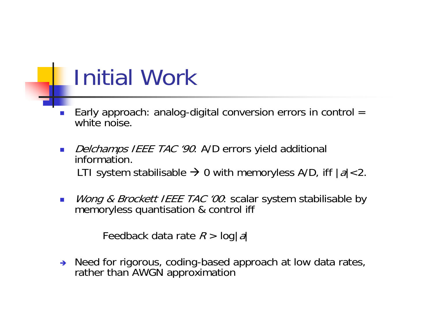## Initial Work

- L. Early approach: analog-digital conversion errors in control  $=$ white noise.
- $\mathcal{L}_{\mathcal{A}}$ Delchamps IEEE TAC '90: A/D errors yield additional information. LTI system stabilisable  $\rightarrow$  0 with memoryless A/D, iff  $|a|$ <2.
- $\overline{\mathbb{R}^n}$ *Wong & Brockett IEEE TAC '00*: scalar system stabilisable by memoryless quantisation & control iff

Feedback data rate  $R$  >  $\log \lvert a \rvert$ 

 $\rightarrow$  Need for rigorous, coding-based approach at low data rates, rather than AWGN approximation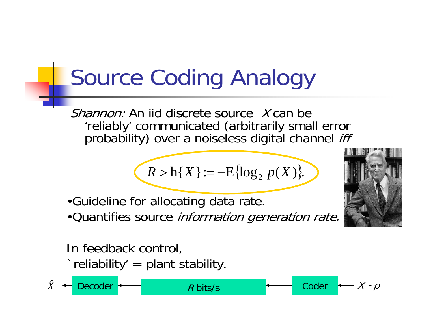# Source Coding Analogy

Shannon: An iid discrete source Y can be 'reliably' communicated (arbitrarily small error<br>probability) over a noiseless digital channel *iff* 

$$
R > h\{X\} := -E\{\log_2 p(X)\}.
$$

R bits/s  $\overline{R}$  Coder  $\overline{X}$  -  $\overline{P}$ 

- •Guideline for allocating data rate.
- •Quantifies source information generation rate.



In feedback control,  $\dot{\ }$  reliability' = plant stability.

 $\hat{X}$ Decoder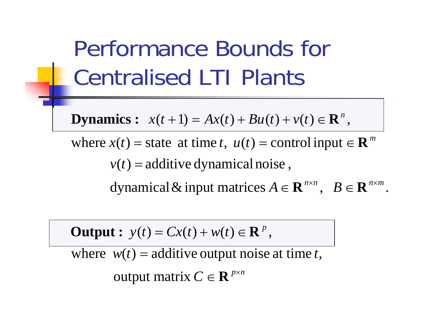Performance Bounds for Centralised LTI Plants

**Dynamics**:  $x(t+1) = Ax(t) + Bu(t) + v(t) \in \mathbb{R}^n$ ,

where  $x(t)$  = state at time t,  $u(t)$  = control input  $\in \mathbb{R}^m$  $v(t)$  = additive dynamical noise,

 $A \in \mathbf{R}^{\mathit{n}\times\mathit{n}}$  ,  $\quad B \in \mathbf{R}^{\mathit{n}\times\mathit{m}}$ dynamical & input matrices  $A \in \mathbf{R}^{n \times n}$ ,  $B \in \mathbf{R}^{n \times m}$ .

**Output**:  $y(t) = Cx(t) + w(t) \in \mathbb{R}^p$ ,

where  $w(t) =$  additive output noise at time t,

 $C \in \mathbf{R}^{p \times n}$ output matrix  $C \in \mathbf{R}^{p \times q}$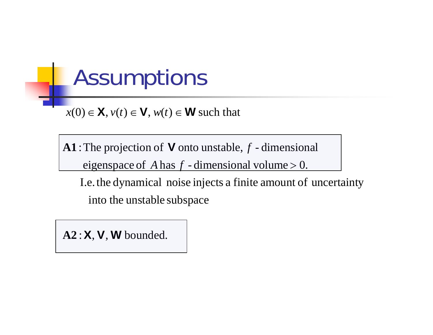#### **Assumptions**

 $x(0) \in \mathbf{X}$ ,  $v(t) \in \mathbf{V}$ ,  $w(t) \in \mathbf{W}$  such that

 $eigenspace$  of  $A$  has  $f$  -dimensional volume  $> 0$ .  $\mathbf{A1}$ : The projection of  $\mathbf V$  onto unstable,  $f$  -dimensional

into the unstable subspace I.e. the dynamical noise injects a finite a mount of uncertainty

 $\mathbf{A2:} \mathbf{X}, \mathbf{V}, \mathbf{W}$  bounded.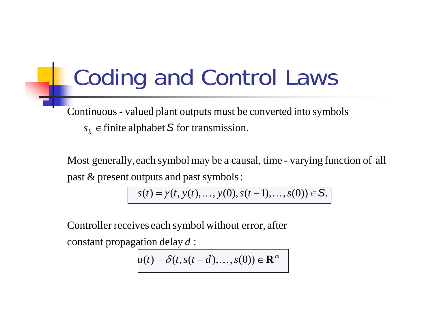## Coding and Control Laws

 $s_k \in$  finite alphabet  $S$  for transmission. Continuous - valued plant outputs must be converted into symbols

past  $&$  present outputs and past symbols: Most generally, each symbol may be a causal, time - varying function of all

 $s(t) = \gamma(t, y(t), \dots, y(0), s(t-1), \dots, s(0)) \in S.$ 

Controller receives each symbol without error, after

constant propagation delay  $d$  :

$$
u(t) = \delta(t, s(t-d), \ldots, s(0)) \in \mathbf{R}^m
$$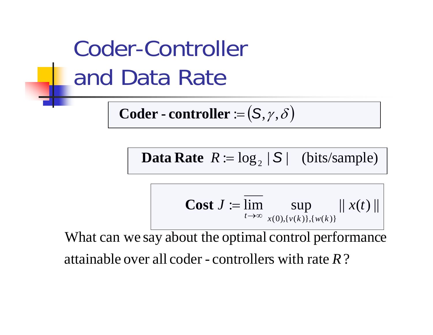Coder-Controller and Data Rate

 $\textbf{Coder - controller} \coloneqq \bigl( \mathsf{S}, \gamma, \delta \bigr)$ 

**Data Rate**  $R := \log_2 |S|$  (bits/sample)

**Cost** 
$$
J := \overline{\lim_{t \to \infty}} \sup_{x(0), \{v(k)\}, \{w(k)\}} ||x(t)||
$$

attainable over all coder - controllers with rate *R* ? What can we say about the optimal control performance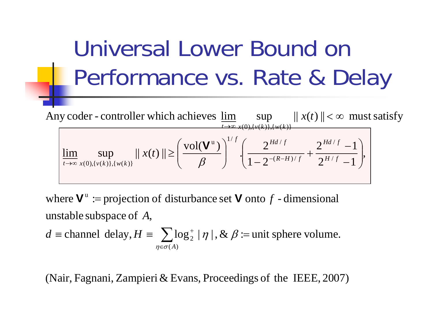# Universal Lower Bound on Performance vs. Rate & Delay

 $2^{H/f} - 1$ <sup>'</sup>  $2^{na/f} -1$  $1 - 2$ 2  $\left|\lim_{n\to\infty}$  sup  $\|x(t)\| \ge \left|\frac{\text{vol}(\mathbf{V}^{\mathrm{u}})}{\rho}\right|$   $\left|\frac{2^{\text{Ha}/f}}{1 - 2^{-(R-H)/f}} + \frac{2^{\text{Ha}/f}}{2^H}\right|$ Any coder - controller which achieves  $\underline{\lim}$  sup  $||x(t)|| < \infty$  must satisfy /  $(R-H)/$  $\mathfrak{u} \setminus$   $\bigwedge^{1/f}$  (  $\bigwedge$   $H$ d /  $(0),\{v(k)\},\{w(k)\}\$  $\downarrow \rightarrow \infty$   $x(0), \{v(k)\}, \{w(k)\}$ ⎟ ⎟  $\int$ ⎞ ⎝  $\bigg($ −  $+\frac{2}{\sqrt{1+\frac{2}{x^2}}}}$  $\frac{1}{1-\frac{1}{1-\frac{1}{1-\frac{1}{1-\frac{1}{1-\frac{1}{1-\frac{1}{1-\frac{1}{1-\frac{1}{1-\frac{1}{1-\frac{1}{1-\frac{1}{1-\frac{1}{1-\frac{1}{1-\frac{1}{1-\frac{1}{1-\frac{1}{1-\frac{1}{1-\frac{1}{1-\frac{1}{1-\frac{1}{1-\frac{1}{1-\frac{1}{1-\frac{1}{1-\frac{1}{1-\frac{1}{1-\frac{1}{1-\frac{1}{1-\frac{1}{1-\frac{1}{1-\frac{1}{1-\frac{1}{1-\frac{1}{1-\frac{1}{1-\frac{1}{1-\frac{1}{1-\frac{1$  $\overline{\phantom{a}}$  $\int$ ⎞ ⎝  $\bigg($  $\lim_{x \to \infty} \sup_{x(0), \{v(k)\}, \{w(k)\}} ||x(t)|| \geq \left(\frac{\epsilon}{\beta}\right) + \left(\frac{\epsilon}{1 - 2^{-(R-H)/f}} + \frac{\epsilon}{2^{H/f}}\right)$ ∞→*fHd R*-*H*)/ *f*  $\int f$   $\int$  *f*  $Hd/f$  $t\rightarrow\infty$   $x(0),\{v(k)\}\$ *ttx* **V**

unstable subspace of  $\,A,\,$ where  $V^{\text{u}} \coloneqq$  projection of disturbance set V onto  $f$  - dimensional

 $\equiv$  channel delay,  $H = \sum \log_2^+ |\eta|$ ,  $\& \beta :=$  unit sphere volume.  $\eta \in \sigma(A)$  $d \equiv$  channel delay,  $H \equiv \sum_{n \in \sigma(A)} \log_2^+ |\eta|$ , &  $\beta$ 

(Nair, Fagnani, Zampieri & Evans, Proceedings of the IEEE,  $2007$ )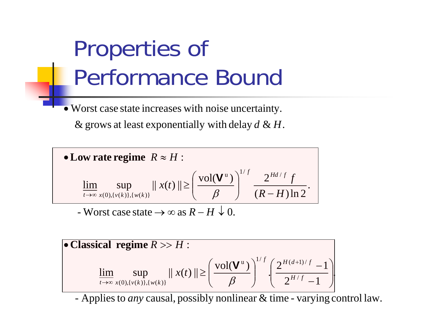# Properties of Performance Bound

Worst case state increases with noise uncertainty. •

 $\&$  grows at least exponentially with delay  $d \& H$ .

• Low rate regime 
$$
R \approx H
$$
:  
\n
$$
\lim_{t\to\infty} \sup_{x(0), \{v(k)\}, \{w(k)\}} ||x(t)|| \ge \left(\frac{\text{vol}(\mathbf{V}^{\mathrm{u}})}{\beta}\right)^{1/f} \frac{2^{Hd/f}f}{(R-H)\ln 2}.
$$

- Worst case state  $\rightarrow \infty$  as  $R-H \downarrow 0$ .

• **Classical regime** 
$$
R \gg H
$$
:  
\n
$$
\lim_{t \to \infty} \sup_{x(0), \{v(k)\}, \{w(k)\}} ||x(t)|| \ge \left(\frac{\text{vol}(\mathbf{V}^{\mathrm{u}})}{\beta}\right)^{1/f} \cdot \left(\frac{2^{H(d+1)/f} - 1}{2^{H/f} - 1}\right)
$$

*-* Applies to *any* causal, possibly nonlinear & time - varying control law.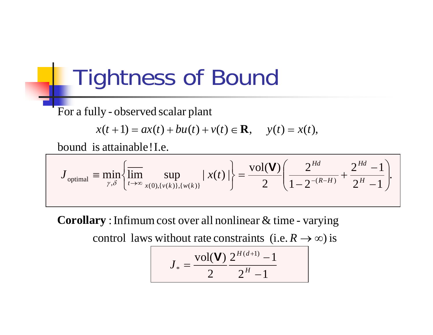#### Tightness of Bound

For a fully - observed scalar plant

$$
x(t+1) = ax(t) + bu(t) + v(t) \in \mathbf{R}
$$
,  $y(t) = x(t)$ ,

bound is attainable ! I.e.

$$
J_{\text{optimal}} = \min_{\gamma, \delta} \left\{ \overline{\lim}_{t \to \infty} \sup_{x(0), \{v(k)\}, \{w(k)\}} |x(t)| \right\} = \frac{\text{vol}(\mathbf{V})}{2} \left( \frac{2^{Hd}}{1 - 2^{-(R-H)}} + \frac{2^{Hd} - 1}{2^H - 1} \right).
$$

 $\bf Corollary: Infinum cost over all nonlinear & time - varying$ 

control laws without rate constraints (i.e.  $R \to \infty$ ) is

$$
J_* = \frac{\text{vol}(\mathbf{V})}{2} \frac{2^{H(d+1)} - 1}{2^H - 1}
$$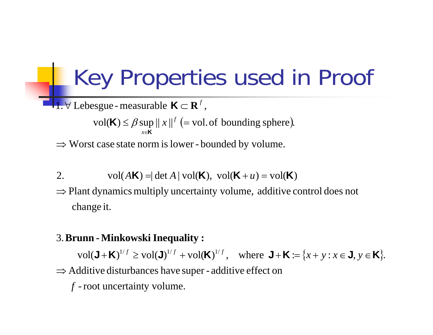#### Key Properties used in Proof

**f**.  $∀$  Lebesgue - measurable  $K ⊂ R$ <sup>*f*</sup>,

 $vol(K) \leq \beta \sup ||x||^f$  (= vol. of bounding sphere). *x*∈**K**

 $\Rightarrow$  Worst case state norm is lower - bounded by volume.

2. vol
$$
(A\mathbf{K}) = |\det A|
$$
 vol $(\mathbf{K}), \text{ vol}(\mathbf{K} + u) = \text{vol}(\mathbf{K})$ 

change it.  $\Rightarrow$  Plant dynamics multiply uncertainty volume, additive control does not

#### .3 **-Brunn Minkowski :Inequality**

 $vol(\mathbf{J} + \mathbf{K})^{1/f} \geq vol(\mathbf{J})^{1/f} + vol(\mathbf{K})^{1/f}, \text{ where } \mathbf{J} + \mathbf{K} := \{x + y : x \in \mathbf{J}, y \in \mathbf{K}\}.$ 

 $\Rightarrow$  Additive disturbances have super - additive effect on

 $f$  - root uncertainty volume.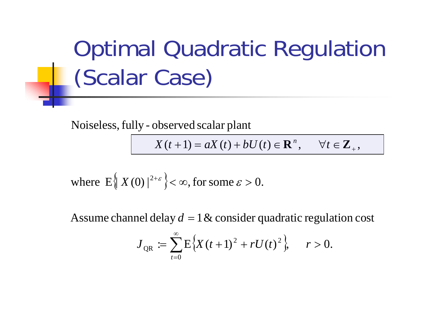Optimal Quadratic Regulation (Scalar Case)

Noiseless, fully - observed scalar plant

 $X(t+1) = aX(t) + bU(t) \in \mathbf{R}^n, \quad \forall t \in \mathbf{Z}_+,$  $\mathbf{R}^n$ ,  $\forall t \in \mathbf{Z}$ 

where 
$$
E\left\{X(0)\right\}^{2+\varepsilon}
$$
 <  $\infty$ , for some  $\varepsilon > 0$ .

Assume channel delay  $d = 1$   $\&$  consider quadratic regulation cost

$$
J_{QR} := \sum_{t=0}^{\infty} E\Big\{X(t+1)^2 + rU(t)^2\Big\}, \quad r > 0.
$$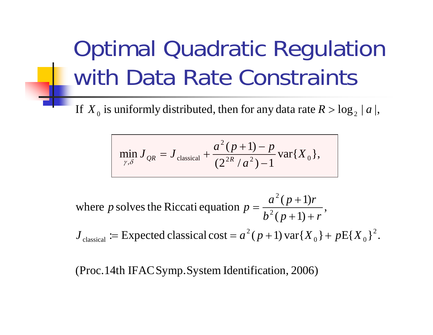# Optimal Quadratic Regulation with Data Rate Constraints

If  $X_{\overline{0}}$  is uniformly distributed, then for any data rate  $R > \log_{2} |a|,$ 

$$
\min_{\gamma,\delta} J_{QR} = J_{\text{classical}} + \frac{a^2 (p+1) - p}{(2^{2R}/a^2) - 1} \text{var}\{X_0\},\,
$$

 $(p+1)+r'$ where p solves the Riccati equation  $p = \frac{a^2 (p+1)}{h^2 (p+1)}$ 2  $b^2(p+1)+r$  $a(p+1)r$ *p* solves the Riccati equation *p*  $+1+$  $=\frac{a^2(p+1)}{2}$ 

 $:=$  Expected classical cost =  $a^2(p+1)$  var ${X_0}$  +  $pE{X_0}^2$ .  $J_{\text{classical}} := \text{Expected classical cost} = a^2(p+1) \text{ var}\{X_0\} + p\text{E}\{X_0\}$ 

 $(Proc.14th IFACSymp. System Identification, 2006)$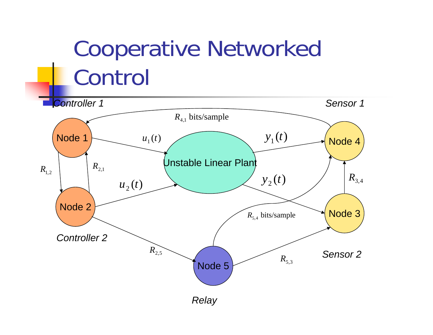## Cooperative Networked Control

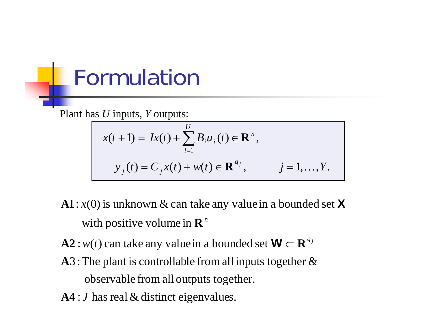#### Formulation

Plant has *U* inputs, *Y* outputs:

$$
x(t+1) = Jx(t) + \sum_{i=1}^{U} B_i u_i(t) \in \mathbf{R}^n,
$$
  

$$
y_j(t) = C_j x(t) + w(t) \in \mathbf{R}^{q_j}, \qquad j = 1,...,Y.
$$

- with positive volume in  $\mathbf{R}^n$  $A1: x(0)$  is unknown  $\&$  can take any value in a bounded set  $\bm{X}$
- $: w(t)$  can take any value in a bounded set  $A2$  :  $w(t)$  can take any value in a bounded set  $\mathbf{W} \subset \mathbf{R}^{q_j}$
- observable from all outputs together.  $A3$ : The plant is controllable from all inputs together  $\&$
- **A4** : *J* has real & distinct eigenvalues.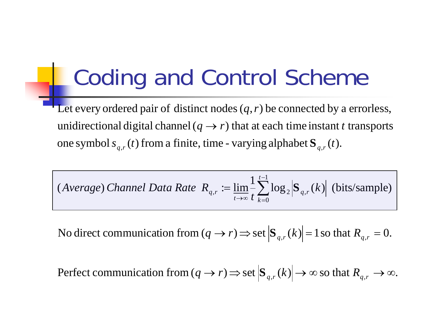## Coding and Control Scheme

one symbol  $s_{q,r}(t)$  from a finite, time - varying alphabet  $\mathbf{S}_{q,r}(t)$ . unidirectional digital channel ( $q \rightarrow r$ ) that at each time instant t transports Let every ordered pair of distinct nodes  $(q, r)$  be connected by a errorless,

(*Average*) *Channel Data Rate* 
$$
R_{q,r} := \lim_{t \to \infty} \frac{1}{t} \sum_{k=0}^{t-1} \log_2 |\mathbf{S}_{q,r}(k)|
$$
 (bits/sample)

No direct communication from  $(q \rightarrow r)$   $\Rightarrow$  set  $|\mathbf{S}_{q,r}(k)| = 1$  so that  $R_{q,r} = 0$ .

Perfect communication from  $(q \to r) \Rightarrow$  set  $|\mathbf{S}_{q,r}(k)| \to \infty$  so that  $R_{q,r} \to \infty$ .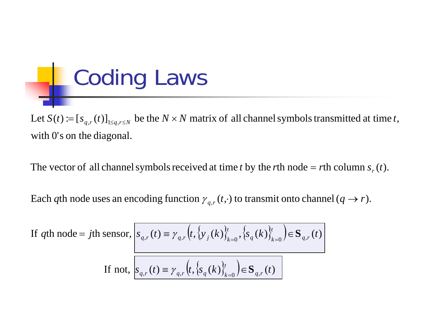Coding Laws 

with  $0'$ s on the diagonal. Let  $S(t) := [s_{q,r}(t)]_{1 \leq q,r \leq N}$  be the  $N \times N$  matrix of all channel symbols transmitted at time t,

The vector of all channel symbols received at time t by the rth node = rth column  $s_r(t)$ .

Each  $q$ th node uses an encoding function  $\gamma_{q,r}(t,\cdot)$  to transmit onto channel ( $q\to r$ ).

If qth node = *j*th sensor, 
$$
s_{q,r}(t) \equiv \gamma_{q,r} \left( t, \{ y_j(k) \}_{k=0}^t, \{ s_q(k) \}_{k=0}^t \right) \in \mathbf{S}_{q,r}(t)
$$
  
If not, 
$$
s_{q,r}(t) \equiv \gamma_{q,r} \left( t, \{ s_q(k) \}_{k=0}^t \right) \in \mathbf{S}_{q,r}(t)
$$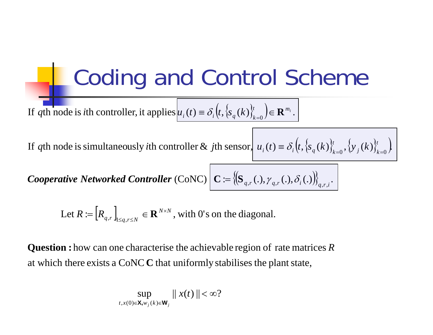Coding and Control Scheme  $\Big($ If qth node is ith controller, it applies  $u_i(t) = \delta_i (t, \{s_q(k)\}_{k=0}^t) \in \mathbf{R}^{m_i}$ . ) *q*th node is *i*th controller, it applies  $u_i(t) = \delta_i(t, \{s_q(k)\}_{k=0}^t) \in \mathbb{R}^{m_i}$  $\mu_i$  (*i*)  $\sigma_i$  (*i*)  $\sigma_q$  (*i*)  $\sigma_k$  $\delta_i(t, \{s_a(k)\}\)$   $\in \mathbb{R}$ 

If qth node is simultaneously *i*th controller & *j*th sensor,  $u_i(t) = \delta_i \left(t, \left\{ s_q(k) \right\}_{k=0}^t, \left\{ y_j(k) \right\}_{k=0}^t \right)$ *q*th node is simultaneously *i*th controller & *j*th sensor,  $u_i(t) = \delta_i \left(t, \left\{ s_q(k) \right\}_{k=0}^t, \left\{ y_j(k) \right\}_{k=0}^t$  $j^{(k)}$ *t*  $\mu_i$  (*v*)  $-\mathbf{v}_i$  (*v*,  $\mathbf{v}_q$  (*v*)  $\mathbf{v}_k$  $\delta$ 

 $\left\{ {\bf C} \in \left\{ {\bf S}_{q,r}(.) , \gamma_{q,r}(.) , \delta_i(.) \right\} \right\}_{q,r,i}.$  $=\left\{\left(\mathbf{S}_{q,r}\left(.\right),\gamma_{q,r}\left(.\right),\mathbf{\mathbf{\mathit{O}}}_{i}\left(.\right)\right)\right\}_{q,r,i}$ **Cooperative Networked Controller** (CoNC)  $\mid$  **C** := { $\mid$ **S**<sub>*a* r</sub>(.),  $\gamma$ <sub>a r</sub>(.),  $\delta$ <sub>i</sub>

Let  $R := [R_{q,r}]_{1 \leq q,r \leq N} \in \mathbf{R}^{N \times N}$ , with 0's on the diagonal. ×  $R\coloneqq\left[R_{q,r}\right]_{1\leq a,r\leq a}$  $_{q,r}$   $_{\mid_{1\leq q,r\leq N}}\in \mathbf{R}^{\scriptscriptstyle N\times N}$ **R**

at which there exists a CoNC  $C$  that uniformly stabilises the plant state, **Question :** how can one characterise the achievable region of rate matrices  $R$ 

$$
\sup_{t,x(0)\in\mathbf{X},w_j(k)\in\mathbf{W}_j}||x(t)||<\infty?
$$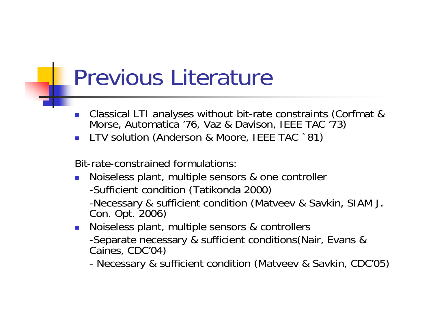#### Previous Literature

- $\mathcal{L}_{\mathcal{A}}$ Classical LTI analyses without bit-rate constraints (Corfmat & Morse, Automatica '76, Vaz & Davison, IEEE TAC '73)
- F. LTV solution (Anderson & Moore, IEEE TAC `81)

Bit-rate-constrained formulations:

- $\mathbb{R}^3$  Noiseless plant, multiple sensors & one controller
	- -Sufficient condition (Tatikonda 2000)

-Necessary & sufficient condition (Matveev & Savkin, SIAM J. Con. Opt. 2006)

- Noiseless plant, multiple sensors & controllers -Separate necessary & sufficient conditions(Nair, Evans & Caines, CDC'04)
	- -Necessary & sufficient condition (Matveev & Savkin, CDC'05)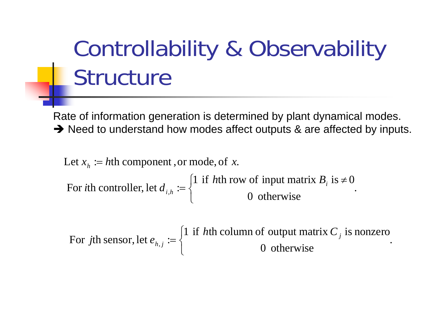# Controllability & Observability Structure

Rate of information generation is determined by plant dynamical modes.  $\rightarrow$  Need to understand how modes affect outputs & are affected by inputs.

0 otherwise  $\cdot$ For *i*th controller, let  $d_{i,h} := \begin{cases} 1 & \text{if } h \text{th row of input matrix } B_i \text{ is } \neq 0 \\ 0 & \text{otherwise} \end{cases}$ Let  $x_h := h$ th component , or mode, of x. ⎨  $=\begin{cases} 1 & \text{if } h \text{th row of input matrix } B_i \text{ is } \neq 0 \end{cases}$ *i hi i*th controller, let  $d_{ijk} := \begin{cases} 1 & \text{if } h \text{th row of input matrix } B \end{cases}$ 

0 otherwise  $\cdot$ For *j*th sensor, let  $e_{h,j} := \begin{cases} 1 & \text{if } h \text{th column of output matrix } C_j \text{ is nonzero} \\ 0 & \text{otherwise} \end{cases}$ ⎨  $\left($ = *j*  $h,j$ *j*th sensor, let  $e_{h,i} := \begin{cases} 1 & \text{if } h \text{th column of output matrix } C \\ 0 & \text{otherwise} \end{cases}$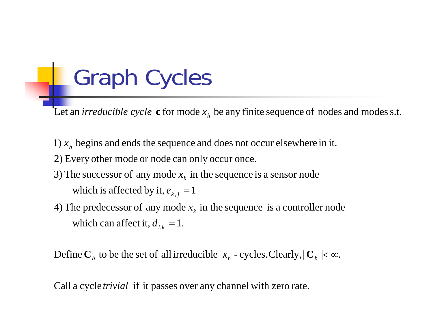## Graph Cycles

Let an  $irreducible cycle$   $\mathbf{c}$  for mode  $x_h$  be any finite sequence of nodes and modes s.t.

- 1)  $x_h$  begins and ends the sequence and does not occur elsewhere in it.
- 2) Every other mode or node can only occur once.
- which is affected by it,  $e_{\scriptscriptstyle k,\:\!j}=1$ 3) The successor of any mode  $x_k$  in the sequence is a sensor node
- which can affect it,  $d_{i,k} = 1$ . 4) The predecessor of any mode  $x_k$  in the sequence is a controller node

Define  $\mathbf{C}_h$  to be the set of all irreducible  $x_h$  - cycles. Clearly,  $\mathbf{C}_h \mid < \infty$ .

Call a cycle *trivial* if it passes over any channel with zero rate.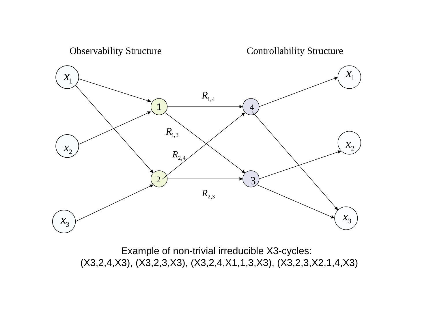

Example of non-trivial irreducible X3-cycles: (X3,2,4,X3), (X3,2,3,X3), (X3,2,4,X1,1,3,X3), (X3,2,3,X2,1,4,X3)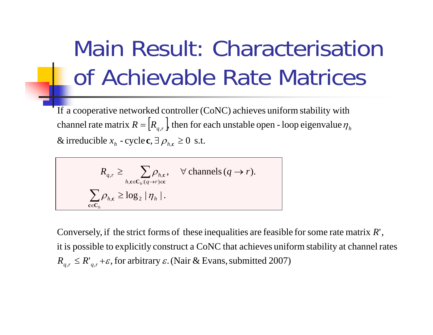# Main Result: Characterisation of Achievable Rate Matrices

channel rate matrix  $R = [R_{q,r}]$ , then for each unstable open - loop eigenvalue  $\eta_h$ & irreducible  $x_h$  - cycle **c**,  $\exists \rho_{h,e} \ge 0$  s.t. If a cooperative networked controller  $(CoNC)$  achieves uniform stability with

$$
R_{q,r} \geq \sum_{h,c \in \mathcal{C}_h: (q \to r) \in \mathbf{c}} \rho_{h,c}, \quad \forall \text{ channels } (q \to r).
$$

$$
\sum_{c \in \mathcal{C}_h} \rho_{h,c} \geq \log_2 |\eta_h|.
$$

 $R_{q,r} \leq R_{q,r}^r + \varepsilon$ , for arbitrary  $\varepsilon$ . (Nair & Evans, submitted 2007) it is possible to explicitly construct a CoNC that achieves uniform stability at channel rates Conversely, if the strict forms of these inequalities are feasible for some rate matrix  $R'$ ,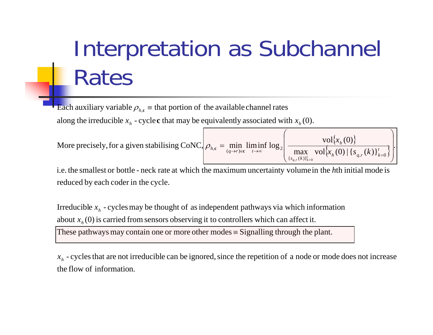# Interpretation as Subchannel Rates

along the irreducible  $x_h$  - cycle  ${\bf c}$  that may be equivalently associated with  $x_h(0).$ Each auxiliary variable  $\rho_{_{h,\mathbf{c}}}$   $\equiv$  that portion of the available channel rates

More precisely, for a given stabilising CONC, 
$$
\rho_{h,c} = \min_{(q \to r) \in \mathbf{c}} \liminf_{t \to \infty} \log_2 \left( \frac{\text{vol}\{x_h(0)\}}{\max_{\{s_{q,r}(k)\}_{k=0}^t} \text{vol}\{x_h(0) | \{s_{q,r}(k)\}_{k=0}^t\}} \right).
$$

reduced by each coder in the cycle. i.e. the smallest or bottle - neck rate at which the maximum uncertainty volume in the hth initial mode is

These pathways may contain one or more other modes  $\equiv$  Signalling through the plant. about  $x_h(0)$  is carried from sensors observing it to controllers which can affect it. Irreducible  $x<sub>h</sub>$  - cycles may be thought of as independent pathways via which information

the flow of information.  $x<sub>h</sub>$  - cycles that are not irreducible can be ignored, since the repetition of a node or mode does not increase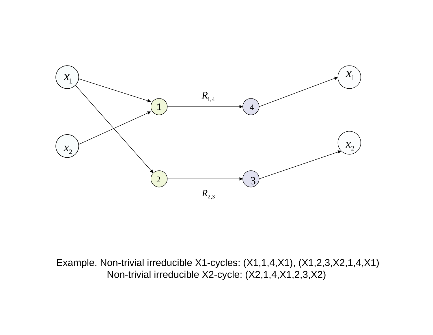

Example. Non-trivial irreducible X1-cycles: (X1,1,4,X1), (X1,2,3,X2,1,4,X1) Non-trivial irreducible X2-cycle: (X2,1,4,X1,2,3,X2)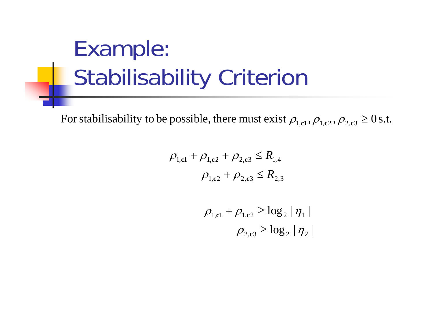# Example: Stabilisability Criterion

For stabilisability to be possible, there must exist  $\rho_{\rm l,cl}, \rho_{\rm l,c2}, \rho_{\rm 2,c3}\geq 0$  s.t.

$$
\rho_{1,c1} + \rho_{1,c2} + \rho_{2,c3} \le R_{1,4}
$$

$$
\rho_{1,c2} + \rho_{2,c3} \le R_{2,3}
$$

$$
\rho_{1,\text{cl}} + \rho_{1,\text{c2}} \ge \log_2 |\eta_1|
$$

$$
\rho_{2,\text{c3}} \ge \log_2 |\eta_2|
$$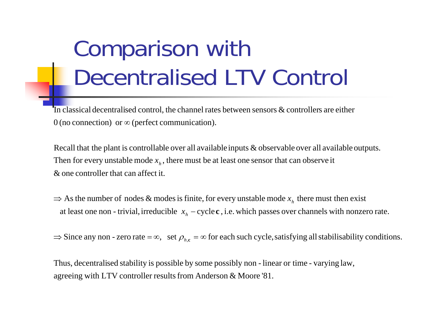# Comparison with Decentralised LTV Control

 $0$  (no connection) or  $\infty$  (perfect communication). In classical decentralised control, the channel rates between sensors  $\&$  controllers are either

 $\&$  one controller that can affect it. Then for every unstable mode  $x<sub>h</sub>$ , there must be at least one sensor that can observe it Recall that the plant is controllable over all available inputs  $\&$  observable over all available outputs.

at least one non - trivial, irreducible  $x_h - \text{cycle c}$  , i.e. which passes over channels with nonzero rate.  $\Rightarrow$  As the number of nodes & modes is finite, for every unstable mode  $x<sub>h</sub>$  there must then exist

 $\Rightarrow$  Since any non - zero rate  $=\infty$ , set  $\rho_{h,c} = \infty$  for each such cycle, satisfying all stabilisability conditions.

agreeing with LTV controller results from Anderson  $\&$  Moore '81. Thus, decentralised stability is possible by some possibly non - linear or time - varying law,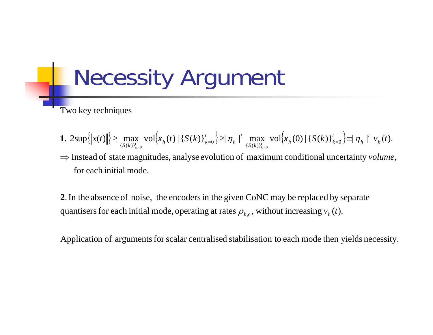#### Necessity Argument

Two key techniques

- .  $2\sup\{\|x(t)\|\}\ge \max_{\{S(k)\}_{k=0}^t} \text{vol}_{x_h}(t) \|\{S(k)\}_{k=0}^t\} \ge \eta_h \|^t \max_{\{S(k)\}_{k=0}^t} \text{vol}_{x_h}(0) \|\{S(k)\}_{k=0}^t\} = \eta_h \|^t v_h(t).$  $\|x(t)\| \ge \max_{k} \left\| \nabla f(x_k(t)) \right\| \left\{ S(k) \right\}_{k=0}^t \ge \left\| \eta_h \right\|^t \max_{k=0} \left\| \nabla f(x_k(t)) \right\| \left\{ S(k) \right\}_{k=0}^t \ge \left\| \eta_h \right\|^t \nu_h(t)$  $\left| \begin{matrix} h \end{matrix} \right|^t$  $\max_{S(k)_{k=0}^{L}}$  vol $\{x_{h}(0) | \{S(k)\}_{k=0}^{L}$  $\left| \begin{matrix} h \end{matrix} \right|^t$  $\max_{S(k)_{k=0}^{t}}$  vol $\{x_{h}(t) | \{S(k)\}_{k=0}^{t} \} \geq |\eta_{h}|^{t}$   $\max_{\{S(k)\}_{k}^{t}}$ **1**.  $2\sup\{|x(t)|\}\geq \max_{k=0}^{n} \frac{\varepsilon}{k!} \frac{1}{k!} \frac{1}{k!} \frac{1}{k!} \frac{1}{k!} \frac{1}{k!} \frac{1}{k!} \frac{1}{k!} \frac{1}{k!} \frac{1}{k!} \frac{1}{k!} \frac{1}{k!} \frac{1}{k!} \frac{1}{k!} \frac{1}{k!} \frac{1}{k!} \frac{1}{k!} \frac{1}{k!} \frac{1}{k!} \frac{1}{k!} \frac{1}{k!} \frac{1}{k!} \frac{1}{k!} \frac{1}{k!$  $=0$  (  $\sim$   $\cdots$  )  $_K$   $=$
- for each initial mode. ⇒ Instead of state magnitudes, analyse evolution of maximum conditional uncertainty *volume*,

quantisers for each initial mode, operating at rates  $\rho_{_{h,\mathbf{c}}},$  without increasing  $v_{_h}(t).$ **2**. In the absence of noise, the encoders in the given CoNC may be replaced by separate

Application of arguments for scalar centralised stabilisation to each mode then yields necessity.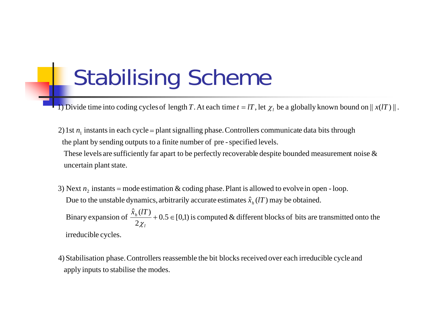### Stabilising Scheme

**i**) Divide time into coding cycles of  $\text{ length } T$ . At each time  $t = lT$ , let  $\chi_l$  be a globally known bound on  $\parallel x(lT)\parallel$  .

the plant by sending outputs to a finite number of pre-specified levels. 2) 1st  $n_1$  instants in each cycle = plant signalling phase. Controllers communicate data bits through

uncertain plant state. These levels are sufficiently far apart to be perfectly recoverable despite bounded measurement noise  $\&$ 

Due to the unstable dynamics, arbitrarily accurate estimates  $\hat{x}_h(lT)$  may be obtained. 3) Next  $n_2$  instants = mode estimation & coding phase. Plant is allowed to evolve in open - loop.

irreducible cycles.  $\frac{d}{dx}$  + 0.5  $\in$  [0,1) is computed & different blocks of bits are transmitted onto the Binary expansion of  $\frac{\hat{x}_h(T)}{2}$  + 0.5  $\in$ *l*χ

apply inputs to stabilise the modes. 4) Stabilisation phase. Controllers reassemble the bit blocks received over each irreducible cycle and